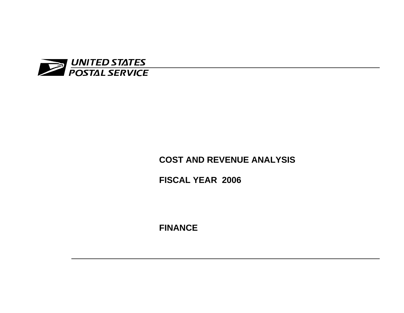

# **COST AND REVENUE ANALYSIS**

**FISCAL YEAR 2006** 

**FINANCE**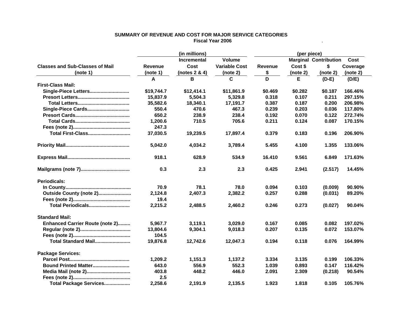|                                        | (in millions) |                    |                      | (per piece)    |          |                              |          |
|----------------------------------------|---------------|--------------------|----------------------|----------------|----------|------------------------------|----------|
|                                        |               | <b>Incremental</b> | <b>Volume</b>        |                |          | <b>Marginal Contribution</b> | Cost     |
| <b>Classes and Sub-Classes of Mail</b> | Revenue       | Cost               | <b>Variable Cost</b> | <b>Revenue</b> | Cost \$  | \$                           | Coverage |
| (note 1)                               | (note 1)      | (notes $2 & 4$ )   | (note 2)             | \$             | (note 2) | (note 2)                     | (note 2) |
|                                        | A             | B                  | C                    | D              | Е        | $(D-E)$                      | (D/E)    |
| <b>First-Class Mail:</b>               |               |                    |                      |                |          |                              |          |
| Single-Piece Letters                   | \$19,744.7    | \$12,414.1         | \$11,861.9           | \$0.469        | \$0.282  | \$0.187                      | 166.46%  |
|                                        | 15,837.9      | 5,504.3            | 5,329.8              | 0.318          | 0.107    | 0.211                        | 297.15%  |
|                                        | 35,582.6      | 18,340.1           | 17,191.7             | 0.387          | 0.187    | 0.200                        | 206.98%  |
| Single-Piece Cards                     | 550.4         | 470.6              | 467.3                | 0.239          | 0.203    | 0.036                        | 117.80%  |
|                                        | 650.2         | 238.9              | 238.4                | 0.192          | 0.070    | 0.122                        | 272.74%  |
|                                        | 1,200.6       | 710.5              | 705.6                | 0.211          | 0.124    | 0.087                        | 170.15%  |
|                                        | 247.3         |                    |                      |                |          |                              |          |
| <b>Total First-Class</b>               | 37,030.5      | 19,239.5           | 17,897.4             | 0.379          | 0.183    | 0.196                        | 206.90%  |
|                                        | 5,042.0       | 4,034.2            | 3,789.4              | 5.455          | 4.100    | 1.355                        | 133.06%  |
|                                        | 918.1         | 628.9              | 534.9                | 16.410         | 9.561    | 6.849                        | 171.63%  |
|                                        | 0.3           | 2.3                | 2.3                  | 0.425          | 2.941    | (2.517)                      | 14.45%   |
| <b>Periodicals:</b>                    |               |                    |                      |                |          |                              |          |
|                                        | 70.9          | 78.1               | 78.0                 | 0.094          | 0.103    | (0.009)                      | 90.90%   |
| Outside County (note 2)                | 2,124.8       | 2,407.3            | 2,382.2              | 0.257          | 0.288    | (0.031)                      | 89.20%   |
|                                        | 19.4          |                    |                      |                |          |                              |          |
| Total Periodicals                      | 2,215.2       | 2,488.5            | 2,460.2              | 0.246          | 0.273    | (0.027)                      | 90.04%   |
| <b>Standard Mail:</b>                  |               |                    |                      |                |          |                              |          |
| <b>Enhanced Carrier Route (note 2)</b> | 5,967.7       | 3,119.1            | 3.029.0              | 0.167          | 0.085    | 0.082                        | 197.02%  |
|                                        | 13,804.6      | 9,304.1            | 9,018.3              | 0.207          | 0.135    | 0.072                        | 153.07%  |
|                                        | 104.5         |                    |                      |                |          |                              |          |
| Total Standard Mail                    | 19,876.8      | 12,742.6           | 12,047.3             | 0.194          | 0.118    | 0.076                        | 164.99%  |
| <b>Package Services:</b>               |               |                    |                      |                |          |                              |          |
|                                        | 1,209.2       | 1,151.3            | 1,137.2              | 3.334          | 3.135    | 0.199                        | 106.33%  |
| Bound Printed Matter                   | 643.0         | 556.9              | 552.3                | 1.039          | 0.893    | 0.147                        | 116.42%  |
| Media Mail (note 2)                    | 403.8         | 448.2              | 446.0                | 2.091          | 2.309    | (0.218)                      | 90.54%   |
|                                        | 2.5           |                    |                      |                |          |                              |          |
| Total Package Services                 | 2,258.6       | 2.191.9            | 2.135.5              | 1.923          | 1.818    | 0.105                        | 105.76%  |

#### **SUMMARY OF REVENUE AND COST FOR MAJOR SERVICE CATEGORIES Fiscal Year 2006** $\bullet$  . The contract of the contract of the contract of the contract of the contract of the contract of the contract of the contract of the contract of the contract of the contract of the contract of the contract of the co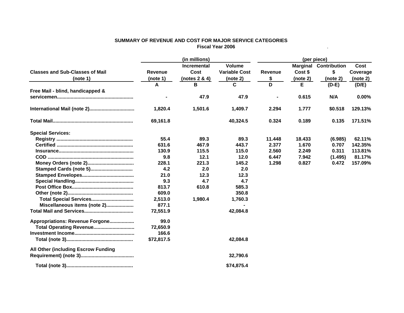#### **SUMMARY OF REVENUE AND COST FOR MAJOR SERVICE CATEGORIES Fiscal Year 2006** $\bullet$  . The contract of the contract of the contract of the contract of the contract of the contract of the contract of the contract of the contract of the contract of the contract of the contract of the contract of the co

|                                        | (in millions)  |                    |                      | (per piece)    |                 |                     |          |
|----------------------------------------|----------------|--------------------|----------------------|----------------|-----------------|---------------------|----------|
|                                        |                | <b>Incremental</b> | <b>Volume</b>        |                | <b>Marginal</b> | <b>Contribution</b> | Cost     |
| <b>Classes and Sub-Classes of Mail</b> | <b>Revenue</b> | Cost               | <b>Variable Cost</b> | <b>Revenue</b> | Cost \$         | \$                  | Coverage |
| (note 1)                               | (note 1)       | (notes 2 & 4)      | (note 2)             | \$             | (note 2)        | (note 2)            | (note 2) |
|                                        | A              | В                  | C                    | D              | Е               | $(D-E)$             | (D/E)    |
| Free Mail - blind, handicapped &       |                |                    |                      |                |                 |                     |          |
|                                        |                | 47.9               | 47.9                 |                | 0.615           | N/A                 | $0.00\%$ |
| International Mail (note 2)            | 1,820.4        | 1,501.6            | 1,409.7              | 2.294          | 1.777           | \$0.518             | 129.13%  |
|                                        | 69,161.8       |                    | 40,324.5             | 0.324          | 0.189           | 0.135               | 171.51%  |
| <b>Special Services:</b>               |                |                    |                      |                |                 |                     |          |
|                                        | 55.4           | 89.3               | 89.3                 | 11.448         | 18.433          | (6.985)             | 62.11%   |
|                                        | 631.6          | 467.9              | 443.7                | 2.377          | 1.670           | 0.707               | 142.35%  |
|                                        | 130.9          | 115.5              | 115.0                | 2.560          | 2.249           | 0.311               | 113.81%  |
|                                        | 9.8            | 12.1               | 12.0                 | 6.447          | 7.942           | (1.495)             | 81.17%   |
|                                        | 228.1          | 221.3              | 145.2                | 1.298          | 0.827           | 0.472               | 157.09%  |
| Stamped Cards (note 5)                 | 4.2            | 2.0                | 2.0                  |                |                 |                     |          |
|                                        | 21.0           | 12.3               | 12.3                 |                |                 |                     |          |
|                                        | 9.3            | 4.7                | 4.7                  |                |                 |                     |          |
|                                        | 813.7          | 610.8              | 585.3                |                |                 |                     |          |
|                                        | 609.0          |                    | 350.8                |                |                 |                     |          |
| Total Special Services                 | 2,513.0        | 1,980.4            | 1,760.3              |                |                 |                     |          |
| Miscellaneous items (note 2)           | 877.1          |                    |                      |                |                 |                     |          |
|                                        | 72,551.9       |                    | 42,084.8             |                |                 |                     |          |
| Appropriations: Revenue Forgone        | 99.0           |                    |                      |                |                 |                     |          |
|                                        | 72,650.9       |                    |                      |                |                 |                     |          |
|                                        | 166.6          |                    |                      |                |                 |                     |          |
|                                        | \$72,817.5     |                    | 42,084.8             |                |                 |                     |          |
| All Other (including Escrow Funding    |                |                    |                      |                |                 |                     |          |
|                                        |                |                    | 32,790.6             |                |                 |                     |          |
|                                        |                |                    | \$74,875.4           |                |                 |                     |          |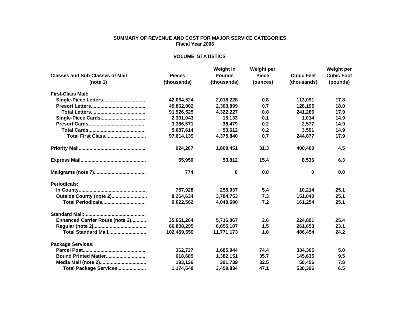#### **SUMMARY OF REVENUE AND COST FOR MAJOR SERVICE CATEGORIES Fiscal Year 2006**

#### **VOLUME STATISTICS**

|                                        |               | Weight in     | <b>Weight per</b> |                   | Weight per        |  |
|----------------------------------------|---------------|---------------|-------------------|-------------------|-------------------|--|
| <b>Classes and Sub-Classes of Mail</b> | <b>Pieces</b> | <b>Pounds</b> | <b>Piece</b>      | <b>Cubic Feet</b> | <b>Cubic Foot</b> |  |
| (note 1)                               | (thousands)   | (thousands)   | (ounces)          | (thousands)       | (pounds)          |  |
| <b>First-Class Mail:</b>               |               |               |                   |                   |                   |  |
| Single-Piece Letters                   | 42,064,524    | 2,018,228     | 0.8               | 113,091           | 17.8              |  |
|                                        | 49,862,002    | 2,303,999     | 0.7               | 128.195           | 18.0              |  |
|                                        | 91,926,525    | 4,322,227     | 0.8               | 241,286           | 17.9              |  |
| Single-Piece Cards                     | 2,301,043     | 15,133        | 0.1               | 1,014             | 14.9              |  |
|                                        | 3,386,571     | 38,479        | 0.2               | 2,577             | 14.9              |  |
|                                        | 5,687,614     | 53,612        | 0.2               | 3,591             | 14.9              |  |
| <b>Total First Class</b>               | 97,614,139    | 4,375,840     | 0.7               | 244,877           | 17.9              |  |
|                                        | 924,207       | 1,809,451     | 31.3              | 400,400           | 4.5               |  |
|                                        | 55,950        | 53,812        | 15.4              | 8,536             | 6.3               |  |
|                                        | 774           | 0             | 0.0               | 0                 | 0.0               |  |
| Periodicals:                           |               |               |                   |                   |                   |  |
|                                        | 757.928       | 255.937       | 5.4               | 10.214            | 25.1              |  |
| Outside County (note 2)                | 8,264,634     | 3,784,753     | 7.3               | 151,040           | 25.1              |  |
| Total Periodicals                      | 9,022,562     | 4.040.690     | 7.2               | 161,254           | 25.1              |  |
|                                        |               |               |                   |                   |                   |  |
| <b>Enhanced Carrier Route (note 2)</b> | 35,651,264    | 5,716,067     | 2.6               | 224,801           | 25.4              |  |
|                                        | 66,808,295    | 6,055,107     | 1.5               | 261,653           | 23.1              |  |
| Total Standard Mail                    | 102,459,559   | 11,771,173    | 1.8               | 486,454           | 24.2              |  |
| <b>Package Services:</b>               |               |               |                   |                   |                   |  |
|                                        | 362,727       | 1,685,944     | 74.4              | 334,305           | 5.0               |  |
| Bound Printed Matter                   | 618,685       | 1,382,151     | 35.7              | 145,635           | 9.5               |  |
|                                        | 193,136       | 391,739       | 32.5              | 50,456            | 7.8               |  |
| Total Package Services                 | 1.174.548     | 3.459.834     | 47.1              | 530.396           | 6.5               |  |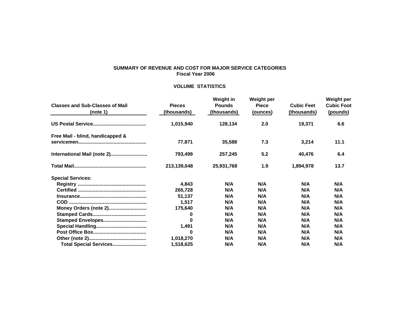# **SUMMARY OF REVENUE AND COST FOR MAJOR SERVICE CATEGORIES Fiscal Year 2006**

# **VOLUME STATISTICS**

| <b>Classes and Sub-Classes of Mail</b><br>(note 1) | <b>Pieces</b><br>(thousands) | <b>Weight in</b><br><b>Pounds</b><br>(thousands) | <b>Weight per</b><br><b>Piece</b><br>(ounces) | <b>Cubic Feet</b><br>(thousands) | Weight per<br><b>Cubic Foot</b><br>(pounds) |
|----------------------------------------------------|------------------------------|--------------------------------------------------|-----------------------------------------------|----------------------------------|---------------------------------------------|
|                                                    | 1,015,940                    | 128,134                                          | 2.0                                           | 19,371                           | 6.6                                         |
| Free Mail - blind, handicapped &                   |                              |                                                  |                                               |                                  |                                             |
|                                                    | 77,871                       | 35,588                                           | 7.3                                           | 3,214                            | 11.1                                        |
| International Mail (note 2)                        | 793,499                      | 257,245                                          | 5.2                                           | 40,476                           | 6.4                                         |
|                                                    | 213,139,048                  | 25,931,768                                       | 1.9                                           | 1,894,978                        | 13.7                                        |
| <b>Special Services:</b>                           |                              |                                                  |                                               |                                  |                                             |
|                                                    | 4,843                        | N/A                                              | N/A                                           | N/A                              | N/A                                         |
|                                                    | 265,728                      | N/A                                              | N/A                                           | N/A                              | N/A                                         |
|                                                    | 51,137                       | N/A                                              | N/A                                           | N/A                              | N/A                                         |
|                                                    | 1,517                        | N/A                                              | N/A                                           | N/A                              | N/A                                         |
| Money Orders (note 2)                              | 175,640                      | N/A                                              | N/A                                           | N/A                              | N/A                                         |
|                                                    | 0                            | N/A                                              | N/A                                           | N/A                              | N/A                                         |
| Stamped Envelopes                                  | 0                            | N/A                                              | N/A                                           | N/A                              | N/A                                         |
|                                                    | 1,491                        | N/A                                              | N/A                                           | N/A                              | N/A                                         |
|                                                    | 0                            | N/A                                              | N/A                                           | N/A                              | N/A                                         |
|                                                    | 1,018,270                    | N/A                                              | N/A                                           | N/A                              | N/A                                         |
| Total Special Services                             | 1,518,625                    | N/A                                              | N/A                                           | N/A                              | N/A                                         |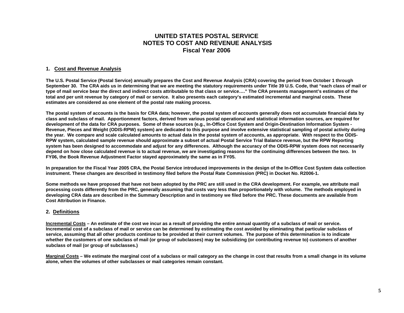# **UNITED STATES POSTAL SERVICE NOTES TO COST AND REVENUE ANALYSIS Fiscal Year 2006**

## **1. Cost and Revenue Analysis**

**The U.S. Postal Service (Postal Service) annually prepares the Cost and Revenue Analysis (CRA) covering the period from October 1 through September 30. The CRA aids us in determining that we are meeting the statutory requirements under Title 39 U.S. Code, that "each class of mail or type of mail service bear the direct and indirect costs attributable to that class or service…." The CRA presents management's estimates of the total and per unit revenue by category of mail or service. It also presents each category's estimated incremental and marginal costs. These estimates are considered as one element of the postal rate making process.** 

**The postal system of accounts is the basis for CRA data; however, the postal system of accounts generally does not accumulate financial data by class and subclass of mail. Apportionment factors, derived from various postal operational and statistical information sources, are required for development of the data for CRA purposes. Some of these sources (e.g., In-Office Cost System and Origin-Destination Information System - Revenue, Pieces and Weight (ODIS-RPW) system) are dedicated to this purpose and involve extensive statistical sampling of postal activity during the year. We compare and scale calculated amounts to actual data in the postal system of accounts, as appropriate. With respect to the ODIS-RPW system, calculated sample revenue should approximate a subset of actual Postal Service Trial Balance revenue, but the RPW Reporting system has been designed to accommodate and adjust for any differences. Although the accuracy of the ODIS-RPW system does not necessarily depend on how close calculated revenue is to actual revenue, we are investigating reasons for the continuing differences between the two. In FY06, the Book Revenue Adjustment Factor stayed approximately the same as in FY05.** 

**In preparation for the Fiscal Year 2005 CRA, the Postal Service introduced improvements in the design of the In-Office Cost System data collection instrument. These changes are described in testimony filed before the Postal Rate Commission (PRC) in Docket No. R2006-1.** 

**Some methods we have proposed that have not been adopted by the PRC are still used in the CRA development. For example, we attribute mail processing costs differently from the PRC, generally assuming that costs vary less than proportionately with volume. The methods employed in developing CRA data are described in the Summary Description and in testimony we filed before the PRC. These documents are available from Cost Attribution in Finance.** 

### **2. Definitions**

**Incremental Costs – An estimate of the cost we incur as a result of providing the entire annual quantity of a subclass of mail or service. Incremental cost of a subclass of mail or service can be determined by estimating the cost avoided by eliminating that particular subclass of service, assuming that all other products continue to be provided at their current volumes. The purpose of this determination is to indicate whether the customers of one subclass of mail (or group of subclasses) may be subsidizing (or contributing revenue to) customers of another subclass of mail (or group of subclasses.)** 

**Marginal Costs – We estimate the marginal cost of a subclass or mail category as the change in cost that results from a small change in its volume alone, when the volumes of other subclasses or mail categories remain constant.**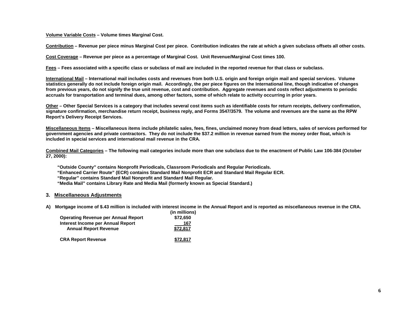**Volume Variable Costs – Volume times Marginal Cost.** 

**Contribution – Revenue per piece minus Marginal Cost per piece. Contribution indicates the rate at which a given subclass offsets all other costs.** 

**Cost Coverage – Revenue per piece as a percentage of Marginal Cost. Unit Revenue/Marginal Cost times 100.** 

**Fees – Fees associated with a specific class or subclass of mail are included in the reported revenue for that class or subclass.** 

**International Mail – International mail includes costs and revenues from both U.S. origin and foreign origin mail and special services. Volume statistics generally do not include foreign origin mail. Accordingly, the per piece figures on the International line, though indicative of changes from previous years, do not signify the true unit revenue, cost and contribution. Aggregate revenues and costs reflect adjustments to periodic accruals for transportation and terminal dues, among other factors, some of which relate to activity occurring in prior years.** 

**Other – Other Special Services is a category that includes several cost items such as identifiable costs for return receipts, delivery confirmation, signature confirmation, merchandise return receipt, business reply, and Forms 3547/3579. The volume and revenues are the same as the RPW Report's Delivery Receipt Services.** 

**Miscellaneous Items – Miscellaneous items include philatelic sales, fees, fines, unclaimed money from dead letters, sales of services performed for government agencies and private contractors. They do not include the \$37.2 million in revenue earned from the money order float, which is included in special services and international mail revenue in the CRA.** 

**Combined Mail Categories – The following mail categories include more than one subclass due to the enactment of Public Law 106-384 (October 27, 2000):** 

 **"Outside County" contains Nonprofit Periodicals, Classroom Periodicals and Regular Periodicals.** 

- **"Enhanced Carrier Route" (ECR) contains Standard Mail Nonprofit ECR and Standard Mail Regular ECR.**
- **"Regular" contains Standard Mail Nonprofit and Standard Mail Regular.**
- **"Media Mail" contains Library Rate and Media Mail (formerly known as Special Standard.)**

### **3. Miscellaneous Adjustments**

**A) Mortgage income of \$.43 million is included with interest income in the Annual Report and is reported as miscellaneous revenue in the CRA.** 

| <b>Operating Revenue per Annual Report</b>                        | (in millions)<br>\$72,650 |
|-------------------------------------------------------------------|---------------------------|
| Interest Income per Annual Report<br><b>Annual Report Revenue</b> | 167<br>\$72.817           |
| <b>CRA Report Revenue</b>                                         | \$72.817                  |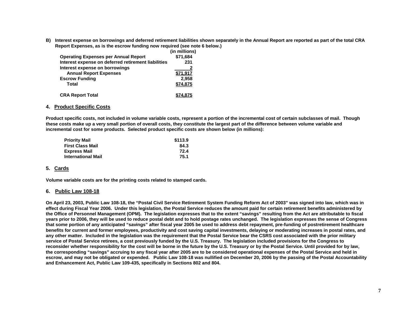**B) Interest expense on borrowings and deferred retirement liabilities shown separately in the Annual Report are reported as part of the total CRA Report Expenses, as is the escrow funding now required (see note 6 below.)** 

|                                                     | (in millions) |
|-----------------------------------------------------|---------------|
| <b>Operating Expenses per Annual Report</b>         | \$71,684      |
| Interest expense on deferred retirement liabilities | 231           |
| Interest expense on borrowings                      |               |
| <b>Annual Report Expenses</b>                       | 71.917        |
| <b>Escrow Funding</b>                               | 2.958         |
| Total                                               | \$74.875      |
| <b>CRA Report Total</b>                             |               |

### **4. Product Specific Costs**

**Product specific costs, not included in volume variable costs, represent a portion of the incremental cost of certain subclasses of mail. Though these costs make up a very small portion of overall costs, they constitute the largest part of the difference between volume variable and incremental cost for some products. Selected product specific costs are shown below (in millions):** 

| <b>Priority Mail</b>      | \$113.9 |
|---------------------------|---------|
| <b>First Class Mail</b>   | 84.3    |
| <b>Express Mail</b>       | 72.4    |
| <b>International Mail</b> | 75.1    |

## **5. Cards**

**Volume variable costs are for the printing costs related to stamped cards.** 

### **6. Public Law 108-18**

**On April 23, 2003, Public Law 108-18, the "Postal Civil Service Retirement System Funding Reform Act of 2003" was signed into law, which was in effect during Fiscal Year 2006. Under this legislation, the Postal Service reduces the amount paid for certain retirement benefits administered by the Office of Personnel Management (OPM). The legislation expresses that to the extent "savings" resulting from the Act are attributable to fiscal years prior to 2006, they will be used to reduce postal debt and to hold postage rates unchanged. The legislation expresses the sense of Congress that some portion of any anticipated "savings" after fiscal year 2005 be used to address debt repayment, pre-funding of postretirement healthcare benefits for current and former employees, productivity and cost saving capital investments, delaying or moderating increases in postal rates, and any other matter. Included in the legislation was the requirement that the Postal Service bear the CSRS cost associated with the prior military service of Postal Service retirees, a cost previously funded by the U.S. Treasury. The legislation included provisions for the Congress to reconsider whether responsibility for the cost will be borne in the future by the U.S. Treasury or by the Postal Service. Until provided for by law, the corresponding "savings" accruing to any fiscal year after 2005 are to be considered operational expenses of the Postal Service and held in escrow, and may not be obligated or expended. Public Law 108-18 was nullified on December 20, 2006 by the passing of the Postal Accountability and Enhancement Act, Public Law 109-435, specifically in Sections 802 and 804.**